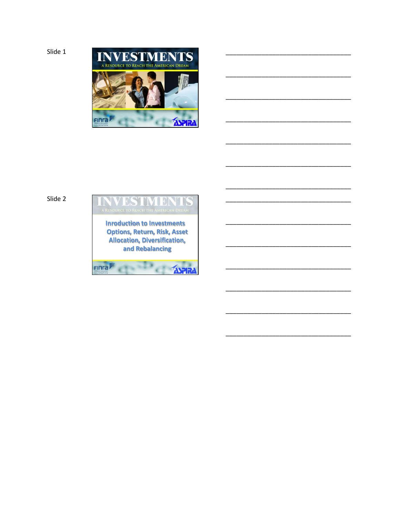```
Slide 1
```


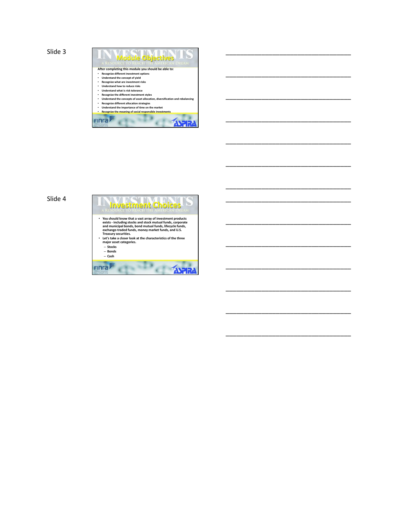

\_\_\_\_\_\_\_\_\_\_\_\_\_\_\_\_\_\_\_\_\_\_\_\_\_\_\_\_\_\_\_\_\_\_\_

\_\_\_\_\_\_\_\_\_\_\_\_\_\_\_\_\_\_\_\_\_\_\_\_\_\_\_\_\_\_\_\_\_\_\_

\_\_\_\_\_\_\_\_\_\_\_\_\_\_\_\_\_\_\_\_\_\_\_\_\_\_\_\_\_\_\_\_\_\_\_

\_\_\_\_\_\_\_\_\_\_\_\_\_\_\_\_\_\_\_\_\_\_\_\_\_\_\_\_\_\_\_\_\_\_\_

\_\_\_\_\_\_\_\_\_\_\_\_\_\_\_\_\_\_\_\_\_\_\_\_\_\_\_\_\_\_\_\_\_\_\_

\_\_\_\_\_\_\_\_\_\_\_\_\_\_\_\_\_\_\_\_\_\_\_\_\_\_\_\_\_\_\_\_\_\_\_

\_\_\_\_\_\_\_\_\_\_\_\_\_\_\_\_\_\_\_\_\_\_\_\_\_\_\_\_\_\_\_\_\_\_\_

\_\_\_\_\_\_\_\_\_\_\_\_\_\_\_\_\_\_\_\_\_\_\_\_\_\_\_\_\_\_\_\_\_\_\_

\_\_\_\_\_\_\_\_\_\_\_\_\_\_\_\_\_\_\_\_\_\_\_\_\_\_\_\_\_\_\_\_\_\_\_

\_\_\_\_\_\_\_\_\_\_\_\_\_\_\_\_\_\_\_\_\_\_\_\_\_\_\_\_\_\_\_\_\_\_\_

\_\_\_\_\_\_\_\_\_\_\_\_\_\_\_\_\_\_\_\_\_\_\_\_\_\_\_\_\_\_\_\_\_\_\_

\_\_\_\_\_\_\_\_\_\_\_\_\_\_\_\_\_\_\_\_\_\_\_\_\_\_\_\_\_\_\_\_\_\_\_

\_\_\_\_\_\_\_\_\_\_\_\_\_\_\_\_\_\_\_\_\_\_\_\_\_\_\_\_\_\_\_\_\_\_\_

\_\_\_\_\_\_\_\_\_\_\_\_\_\_\_\_\_\_\_\_\_\_\_\_\_\_\_\_\_\_\_\_\_\_\_

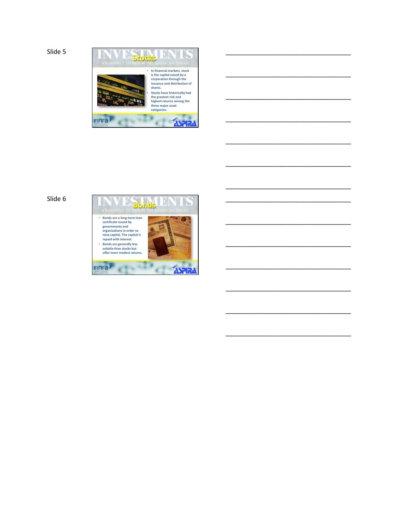

\_\_\_\_\_\_\_\_\_\_\_\_\_\_\_\_\_\_\_\_\_\_\_\_\_\_\_\_\_\_\_\_\_\_\_

\_\_\_\_\_\_\_\_\_\_\_\_\_\_\_\_\_\_\_\_\_\_\_\_\_\_\_\_\_\_\_\_\_\_\_

\_\_\_\_\_\_\_\_\_\_\_\_\_\_\_\_\_\_\_\_\_\_\_\_\_\_\_\_\_\_\_\_\_\_\_

\_\_\_\_\_\_\_\_\_\_\_\_\_\_\_\_\_\_\_\_\_\_\_\_\_\_\_\_\_\_\_\_\_\_\_

\_\_\_\_\_\_\_\_\_\_\_\_\_\_\_\_\_\_\_\_\_\_\_\_\_\_\_\_\_\_\_\_\_\_\_

\_\_\_\_\_\_\_\_\_\_\_\_\_\_\_\_\_\_\_\_\_\_\_\_\_\_\_\_\_\_\_\_\_\_\_

\_\_\_\_\_\_\_\_\_\_\_\_\_\_\_\_\_\_\_\_\_\_\_\_\_\_\_\_\_\_\_\_\_\_\_

\_\_\_\_\_\_\_\_\_\_\_\_\_\_\_\_\_\_\_\_\_\_\_\_\_\_\_\_\_\_\_\_\_\_\_

\_\_\_\_\_\_\_\_\_\_\_\_\_\_\_\_\_\_\_\_\_\_\_\_\_\_\_\_\_\_\_\_\_\_\_

\_\_\_\_\_\_\_\_\_\_\_\_\_\_\_\_\_\_\_\_\_\_\_\_\_\_\_\_\_\_\_\_\_\_\_

\_\_\_\_\_\_\_\_\_\_\_\_\_\_\_\_\_\_\_\_\_\_\_\_\_\_\_\_\_\_\_\_\_\_\_

\_\_\_\_\_\_\_\_\_\_\_\_\_\_\_\_\_\_\_\_\_\_\_\_\_\_\_\_\_\_\_\_\_\_\_

\_\_\_\_\_\_\_\_\_\_\_\_\_\_\_\_\_\_\_\_\_\_\_\_\_\_\_\_\_\_\_\_\_\_\_

\_\_\_\_\_\_\_\_\_\_\_\_\_\_\_\_\_\_\_\_\_\_\_\_\_\_\_\_\_\_\_\_\_\_\_

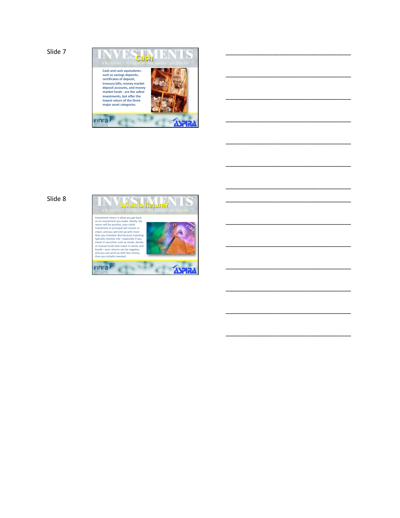

\_\_\_\_\_\_\_\_\_\_\_\_\_\_\_\_\_\_\_\_\_\_\_\_\_\_\_\_\_\_\_\_\_\_\_

\_\_\_\_\_\_\_\_\_\_\_\_\_\_\_\_\_\_\_\_\_\_\_\_\_\_\_\_\_\_\_\_\_\_\_

\_\_\_\_\_\_\_\_\_\_\_\_\_\_\_\_\_\_\_\_\_\_\_\_\_\_\_\_\_\_\_\_\_\_\_

\_\_\_\_\_\_\_\_\_\_\_\_\_\_\_\_\_\_\_\_\_\_\_\_\_\_\_\_\_\_\_\_\_\_\_

\_\_\_\_\_\_\_\_\_\_\_\_\_\_\_\_\_\_\_\_\_\_\_\_\_\_\_\_\_\_\_\_\_\_\_

\_\_\_\_\_\_\_\_\_\_\_\_\_\_\_\_\_\_\_\_\_\_\_\_\_\_\_\_\_\_\_\_\_\_\_

\_\_\_\_\_\_\_\_\_\_\_\_\_\_\_\_\_\_\_\_\_\_\_\_\_\_\_\_\_\_\_\_\_\_\_

\_\_\_\_\_\_\_\_\_\_\_\_\_\_\_\_\_\_\_\_\_\_\_\_\_\_\_\_\_\_\_\_\_\_\_

\_\_\_\_\_\_\_\_\_\_\_\_\_\_\_\_\_\_\_\_\_\_\_\_\_\_\_\_\_\_\_\_\_\_\_

\_\_\_\_\_\_\_\_\_\_\_\_\_\_\_\_\_\_\_\_\_\_\_\_\_\_\_\_\_\_\_\_\_\_\_

\_\_\_\_\_\_\_\_\_\_\_\_\_\_\_\_\_\_\_\_\_\_\_\_\_\_\_\_\_\_\_\_\_\_\_

\_\_\_\_\_\_\_\_\_\_\_\_\_\_\_\_\_\_\_\_\_\_\_\_\_\_\_\_\_\_\_\_\_\_\_

\_\_\_\_\_\_\_\_\_\_\_\_\_\_\_\_\_\_\_\_\_\_\_\_\_\_\_\_\_\_\_\_\_\_\_

\_\_\_\_\_\_\_\_\_\_\_\_\_\_\_\_\_\_\_\_\_\_\_\_\_\_\_\_\_\_\_\_\_\_\_

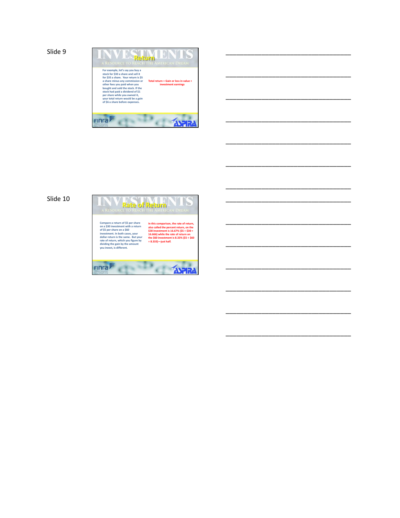

\_\_\_\_\_\_\_\_\_\_\_\_\_\_\_\_\_\_\_\_\_\_\_\_\_\_\_\_\_\_\_\_\_\_\_

\_\_\_\_\_\_\_\_\_\_\_\_\_\_\_\_\_\_\_\_\_\_\_\_\_\_\_\_\_\_\_\_\_\_\_

\_\_\_\_\_\_\_\_\_\_\_\_\_\_\_\_\_\_\_\_\_\_\_\_\_\_\_\_\_\_\_\_\_\_\_

\_\_\_\_\_\_\_\_\_\_\_\_\_\_\_\_\_\_\_\_\_\_\_\_\_\_\_\_\_\_\_\_\_\_\_

\_\_\_\_\_\_\_\_\_\_\_\_\_\_\_\_\_\_\_\_\_\_\_\_\_\_\_\_\_\_\_\_\_\_\_

\_\_\_\_\_\_\_\_\_\_\_\_\_\_\_\_\_\_\_\_\_\_\_\_\_\_\_\_\_\_\_\_\_\_\_

\_\_\_\_\_\_\_\_\_\_\_\_\_\_\_\_\_\_\_\_\_\_\_\_\_\_\_\_\_\_\_\_\_\_\_

\_\_\_\_\_\_\_\_\_\_\_\_\_\_\_\_\_\_\_\_\_\_\_\_\_\_\_\_\_\_\_\_\_\_\_

\_\_\_\_\_\_\_\_\_\_\_\_\_\_\_\_\_\_\_\_\_\_\_\_\_\_\_\_\_\_\_\_\_\_\_

\_\_\_\_\_\_\_\_\_\_\_\_\_\_\_\_\_\_\_\_\_\_\_\_\_\_\_\_\_\_\_\_\_\_\_

\_\_\_\_\_\_\_\_\_\_\_\_\_\_\_\_\_\_\_\_\_\_\_\_\_\_\_\_\_\_\_\_\_\_\_

\_\_\_\_\_\_\_\_\_\_\_\_\_\_\_\_\_\_\_\_\_\_\_\_\_\_\_\_\_\_\_\_\_\_\_

\_\_\_\_\_\_\_\_\_\_\_\_\_\_\_\_\_\_\_\_\_\_\_\_\_\_\_\_\_\_\_\_\_\_\_

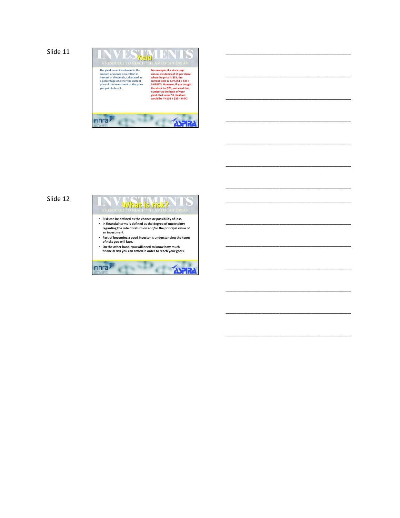```
Slide 11
```


\_\_\_\_\_\_\_\_\_\_\_\_\_\_\_\_\_\_\_\_\_\_\_\_\_\_\_\_\_\_\_\_\_\_\_

\_\_\_\_\_\_\_\_\_\_\_\_\_\_\_\_\_\_\_\_\_\_\_\_\_\_\_\_\_\_\_\_\_\_\_

\_\_\_\_\_\_\_\_\_\_\_\_\_\_\_\_\_\_\_\_\_\_\_\_\_\_\_\_\_\_\_\_\_\_\_

\_\_\_\_\_\_\_\_\_\_\_\_\_\_\_\_\_\_\_\_\_\_\_\_\_\_\_\_\_\_\_\_\_\_\_

\_\_\_\_\_\_\_\_\_\_\_\_\_\_\_\_\_\_\_\_\_\_\_\_\_\_\_\_\_\_\_\_\_\_\_

\_\_\_\_\_\_\_\_\_\_\_\_\_\_\_\_\_\_\_\_\_\_\_\_\_\_\_\_\_\_\_\_\_\_\_

\_\_\_\_\_\_\_\_\_\_\_\_\_\_\_\_\_\_\_\_\_\_\_\_\_\_\_\_\_\_\_\_\_\_\_

\_\_\_\_\_\_\_\_\_\_\_\_\_\_\_\_\_\_\_\_\_\_\_\_\_\_\_\_\_\_\_\_\_\_\_

\_\_\_\_\_\_\_\_\_\_\_\_\_\_\_\_\_\_\_\_\_\_\_\_\_\_\_\_\_\_\_\_\_\_\_

\_\_\_\_\_\_\_\_\_\_\_\_\_\_\_\_\_\_\_\_\_\_\_\_\_\_\_\_\_\_\_\_\_\_\_

\_\_\_\_\_\_\_\_\_\_\_\_\_\_\_\_\_\_\_\_\_\_\_\_\_\_\_\_\_\_\_\_\_\_\_

\_\_\_\_\_\_\_\_\_\_\_\_\_\_\_\_\_\_\_\_\_\_\_\_\_\_\_\_\_\_\_\_\_\_\_

\_\_\_\_\_\_\_\_\_\_\_\_\_\_\_\_\_\_\_\_\_\_\_\_\_\_\_\_\_\_\_\_\_\_\_

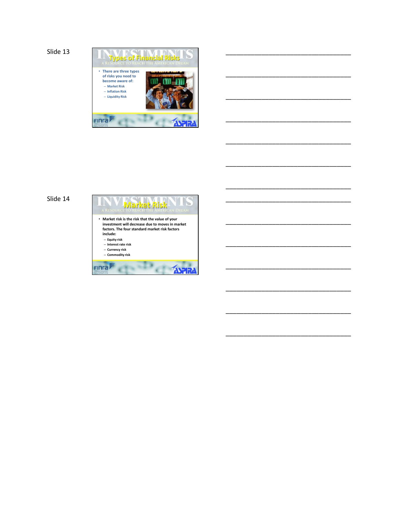

\_\_\_\_\_\_\_\_\_\_\_\_\_\_\_\_\_\_\_\_\_\_\_\_\_\_\_\_\_\_\_\_\_\_\_

\_\_\_\_\_\_\_\_\_\_\_\_\_\_\_\_\_\_\_\_\_\_\_\_\_\_\_\_\_\_\_\_\_\_\_

\_\_\_\_\_\_\_\_\_\_\_\_\_\_\_\_\_\_\_\_\_\_\_\_\_\_\_\_\_\_\_\_\_\_\_

\_\_\_\_\_\_\_\_\_\_\_\_\_\_\_\_\_\_\_\_\_\_\_\_\_\_\_\_\_\_\_\_\_\_\_

\_\_\_\_\_\_\_\_\_\_\_\_\_\_\_\_\_\_\_\_\_\_\_\_\_\_\_\_\_\_\_\_\_\_\_

\_\_\_\_\_\_\_\_\_\_\_\_\_\_\_\_\_\_\_\_\_\_\_\_\_\_\_\_\_\_\_\_\_\_\_

\_\_\_\_\_\_\_\_\_\_\_\_\_\_\_\_\_\_\_\_\_\_\_\_\_\_\_\_\_\_\_\_\_\_\_

\_\_\_\_\_\_\_\_\_\_\_\_\_\_\_\_\_\_\_\_\_\_\_\_\_\_\_\_\_\_\_\_\_\_\_

\_\_\_\_\_\_\_\_\_\_\_\_\_\_\_\_\_\_\_\_\_\_\_\_\_\_\_\_\_\_\_\_\_\_\_

\_\_\_\_\_\_\_\_\_\_\_\_\_\_\_\_\_\_\_\_\_\_\_\_\_\_\_\_\_\_\_\_\_\_\_

\_\_\_\_\_\_\_\_\_\_\_\_\_\_\_\_\_\_\_\_\_\_\_\_\_\_\_\_\_\_\_\_\_\_\_

\_\_\_\_\_\_\_\_\_\_\_\_\_\_\_\_\_\_\_\_\_\_\_\_\_\_\_\_\_\_\_\_\_\_\_

\_\_\_\_\_\_\_\_\_\_\_\_\_\_\_\_\_\_\_\_\_\_\_\_\_\_\_\_\_\_\_\_\_\_\_

\_\_\_\_\_\_\_\_\_\_\_\_\_\_\_\_\_\_\_\_\_\_\_\_\_\_\_\_\_\_\_\_\_\_\_

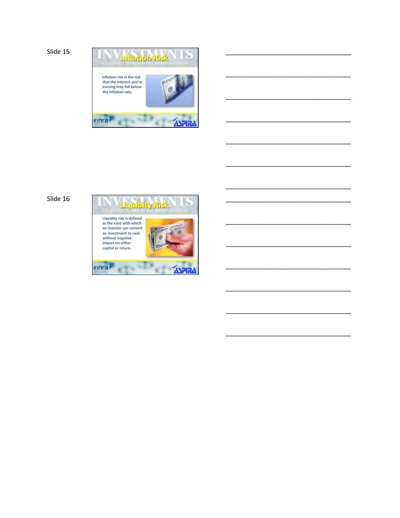

\_\_\_\_\_\_\_\_\_\_\_\_\_\_\_\_\_\_\_\_\_\_\_\_\_\_\_\_\_\_\_\_\_\_\_

\_\_\_\_\_\_\_\_\_\_\_\_\_\_\_\_\_\_\_\_\_\_\_\_\_\_\_\_\_\_\_\_\_\_\_

\_\_\_\_\_\_\_\_\_\_\_\_\_\_\_\_\_\_\_\_\_\_\_\_\_\_\_\_\_\_\_\_\_\_\_

\_\_\_\_\_\_\_\_\_\_\_\_\_\_\_\_\_\_\_\_\_\_\_\_\_\_\_\_\_\_\_\_\_\_\_

\_\_\_\_\_\_\_\_\_\_\_\_\_\_\_\_\_\_\_\_\_\_\_\_\_\_\_\_\_\_\_\_\_\_\_

\_\_\_\_\_\_\_\_\_\_\_\_\_\_\_\_\_\_\_\_\_\_\_\_\_\_\_\_\_\_\_\_\_\_\_

\_\_\_\_\_\_\_\_\_\_\_\_\_\_\_\_\_\_\_\_\_\_\_\_\_\_\_\_\_\_\_\_\_\_\_

\_\_\_\_\_\_\_\_\_\_\_\_\_\_\_\_\_\_\_\_\_\_\_\_\_\_\_\_\_\_\_\_\_\_\_

\_\_\_\_\_\_\_\_\_\_\_\_\_\_\_\_\_\_\_\_\_\_\_\_\_\_\_\_\_\_\_\_\_\_\_

\_\_\_\_\_\_\_\_\_\_\_\_\_\_\_\_\_\_\_\_\_\_\_\_\_\_\_\_\_\_\_\_\_\_\_

\_\_\_\_\_\_\_\_\_\_\_\_\_\_\_\_\_\_\_\_\_\_\_\_\_\_\_\_\_\_\_\_\_\_\_

\_\_\_\_\_\_\_\_\_\_\_\_\_\_\_\_\_\_\_\_\_\_\_\_\_\_\_\_\_\_\_\_\_\_\_

\_\_\_\_\_\_\_\_\_\_\_\_\_\_\_\_\_\_\_\_\_\_\_\_\_\_\_\_\_\_\_\_\_\_\_

\_\_\_\_\_\_\_\_\_\_\_\_\_\_\_\_\_\_\_\_\_\_\_\_\_\_\_\_\_\_\_\_\_\_\_

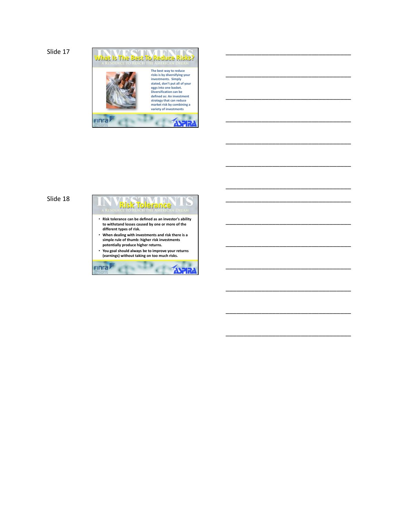

\_\_\_\_\_\_\_\_\_\_\_\_\_\_\_\_\_\_\_\_\_\_\_\_\_\_\_\_\_\_\_\_\_\_\_

\_\_\_\_\_\_\_\_\_\_\_\_\_\_\_\_\_\_\_\_\_\_\_\_\_\_\_\_\_\_\_\_\_\_\_

\_\_\_\_\_\_\_\_\_\_\_\_\_\_\_\_\_\_\_\_\_\_\_\_\_\_\_\_\_\_\_\_\_\_\_

\_\_\_\_\_\_\_\_\_\_\_\_\_\_\_\_\_\_\_\_\_\_\_\_\_\_\_\_\_\_\_\_\_\_\_

\_\_\_\_\_\_\_\_\_\_\_\_\_\_\_\_\_\_\_\_\_\_\_\_\_\_\_\_\_\_\_\_\_\_\_

\_\_\_\_\_\_\_\_\_\_\_\_\_\_\_\_\_\_\_\_\_\_\_\_\_\_\_\_\_\_\_\_\_\_\_

\_\_\_\_\_\_\_\_\_\_\_\_\_\_\_\_\_\_\_\_\_\_\_\_\_\_\_\_\_\_\_\_\_\_\_

\_\_\_\_\_\_\_\_\_\_\_\_\_\_\_\_\_\_\_\_\_\_\_\_\_\_\_\_\_\_\_\_\_\_\_

\_\_\_\_\_\_\_\_\_\_\_\_\_\_\_\_\_\_\_\_\_\_\_\_\_\_\_\_\_\_\_\_\_\_\_

\_\_\_\_\_\_\_\_\_\_\_\_\_\_\_\_\_\_\_\_\_\_\_\_\_\_\_\_\_\_\_\_\_\_\_

\_\_\_\_\_\_\_\_\_\_\_\_\_\_\_\_\_\_\_\_\_\_\_\_\_\_\_\_\_\_\_\_\_\_\_

\_\_\_\_\_\_\_\_\_\_\_\_\_\_\_\_\_\_\_\_\_\_\_\_\_\_\_\_\_\_\_\_\_\_\_

\_\_\_\_\_\_\_\_\_\_\_\_\_\_\_\_\_\_\_\_\_\_\_\_\_\_\_\_\_\_\_\_\_\_\_

## Slide 18



e

**ASPIR**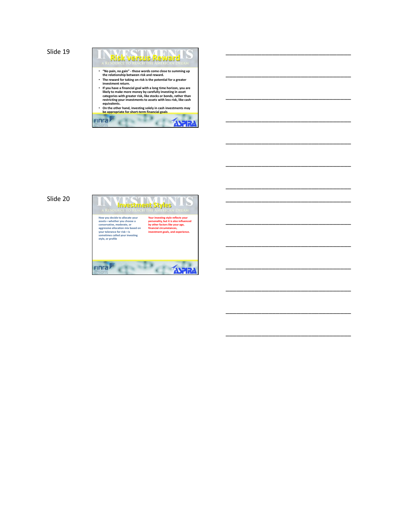

\_\_\_\_\_\_\_\_\_\_\_\_\_\_\_\_\_\_\_\_\_\_\_\_\_\_\_\_\_\_\_\_\_\_\_

\_\_\_\_\_\_\_\_\_\_\_\_\_\_\_\_\_\_\_\_\_\_\_\_\_\_\_\_\_\_\_\_\_\_\_

\_\_\_\_\_\_\_\_\_\_\_\_\_\_\_\_\_\_\_\_\_\_\_\_\_\_\_\_\_\_\_\_\_\_\_

\_\_\_\_\_\_\_\_\_\_\_\_\_\_\_\_\_\_\_\_\_\_\_\_\_\_\_\_\_\_\_\_\_\_\_

\_\_\_\_\_\_\_\_\_\_\_\_\_\_\_\_\_\_\_\_\_\_\_\_\_\_\_\_\_\_\_\_\_\_\_

\_\_\_\_\_\_\_\_\_\_\_\_\_\_\_\_\_\_\_\_\_\_\_\_\_\_\_\_\_\_\_\_\_\_\_

\_\_\_\_\_\_\_\_\_\_\_\_\_\_\_\_\_\_\_\_\_\_\_\_\_\_\_\_\_\_\_\_\_\_\_

\_\_\_\_\_\_\_\_\_\_\_\_\_\_\_\_\_\_\_\_\_\_\_\_\_\_\_\_\_\_\_\_\_\_\_

\_\_\_\_\_\_\_\_\_\_\_\_\_\_\_\_\_\_\_\_\_\_\_\_\_\_\_\_\_\_\_\_\_\_\_

\_\_\_\_\_\_\_\_\_\_\_\_\_\_\_\_\_\_\_\_\_\_\_\_\_\_\_\_\_\_\_\_\_\_\_

\_\_\_\_\_\_\_\_\_\_\_\_\_\_\_\_\_\_\_\_\_\_\_\_\_\_\_\_\_\_\_\_\_\_\_

\_\_\_\_\_\_\_\_\_\_\_\_\_\_\_\_\_\_\_\_\_\_\_\_\_\_\_\_\_\_\_\_\_\_\_

\_\_\_\_\_\_\_\_\_\_\_\_\_\_\_\_\_\_\_\_\_\_\_\_\_\_\_\_\_\_\_\_\_\_\_

\_\_\_\_\_\_\_\_\_\_\_\_\_\_\_\_\_\_\_\_\_\_\_\_\_\_\_\_\_\_\_\_\_\_\_

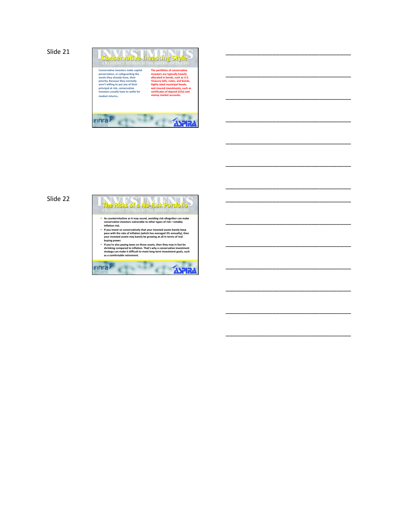

\_\_\_\_\_\_\_\_\_\_\_\_\_\_\_\_\_\_\_\_\_\_\_\_\_\_\_\_\_\_\_\_\_\_\_

\_\_\_\_\_\_\_\_\_\_\_\_\_\_\_\_\_\_\_\_\_\_\_\_\_\_\_\_\_\_\_\_\_\_\_

\_\_\_\_\_\_\_\_\_\_\_\_\_\_\_\_\_\_\_\_\_\_\_\_\_\_\_\_\_\_\_\_\_\_\_

\_\_\_\_\_\_\_\_\_\_\_\_\_\_\_\_\_\_\_\_\_\_\_\_\_\_\_\_\_\_\_\_\_\_\_

\_\_\_\_\_\_\_\_\_\_\_\_\_\_\_\_\_\_\_\_\_\_\_\_\_\_\_\_\_\_\_\_\_\_\_

\_\_\_\_\_\_\_\_\_\_\_\_\_\_\_\_\_\_\_\_\_\_\_\_\_\_\_\_\_\_\_\_\_\_\_

\_\_\_\_\_\_\_\_\_\_\_\_\_\_\_\_\_\_\_\_\_\_\_\_\_\_\_\_\_\_\_\_\_\_\_

\_\_\_\_\_\_\_\_\_\_\_\_\_\_\_\_\_\_\_\_\_\_\_\_\_\_\_\_\_\_\_\_\_\_\_

\_\_\_\_\_\_\_\_\_\_\_\_\_\_\_\_\_\_\_\_\_\_\_\_\_\_\_\_\_\_\_\_\_\_\_

\_\_\_\_\_\_\_\_\_\_\_\_\_\_\_\_\_\_\_\_\_\_\_\_\_\_\_\_\_\_\_\_\_\_\_

\_\_\_\_\_\_\_\_\_\_\_\_\_\_\_\_\_\_\_\_\_\_\_\_\_\_\_\_\_\_\_\_\_\_\_

\_\_\_\_\_\_\_\_\_\_\_\_\_\_\_\_\_\_\_\_\_\_\_\_\_\_\_\_\_\_\_\_\_\_\_

\_\_\_\_\_\_\_\_\_\_\_\_\_\_\_\_\_\_\_\_\_\_\_\_\_\_\_\_\_\_\_\_\_\_\_

\_\_\_\_\_\_\_\_\_\_\_\_\_\_\_\_\_\_\_\_\_\_\_\_\_\_\_\_\_\_\_\_\_\_\_

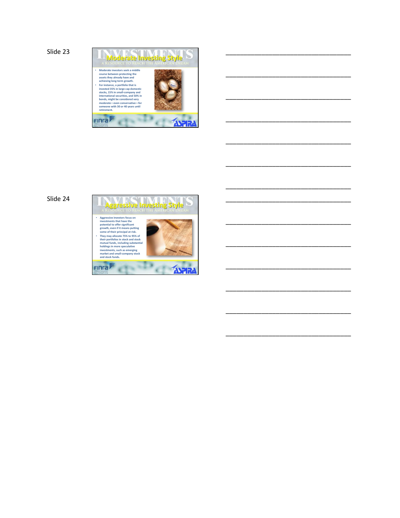

\_\_\_\_\_\_\_\_\_\_\_\_\_\_\_\_\_\_\_\_\_\_\_\_\_\_\_\_\_\_\_\_\_\_\_

\_\_\_\_\_\_\_\_\_\_\_\_\_\_\_\_\_\_\_\_\_\_\_\_\_\_\_\_\_\_\_\_\_\_\_

\_\_\_\_\_\_\_\_\_\_\_\_\_\_\_\_\_\_\_\_\_\_\_\_\_\_\_\_\_\_\_\_\_\_\_

\_\_\_\_\_\_\_\_\_\_\_\_\_\_\_\_\_\_\_\_\_\_\_\_\_\_\_\_\_\_\_\_\_\_\_

\_\_\_\_\_\_\_\_\_\_\_\_\_\_\_\_\_\_\_\_\_\_\_\_\_\_\_\_\_\_\_\_\_\_\_

\_\_\_\_\_\_\_\_\_\_\_\_\_\_\_\_\_\_\_\_\_\_\_\_\_\_\_\_\_\_\_\_\_\_\_

\_\_\_\_\_\_\_\_\_\_\_\_\_\_\_\_\_\_\_\_\_\_\_\_\_\_\_\_\_\_\_\_\_\_\_

\_\_\_\_\_\_\_\_\_\_\_\_\_\_\_\_\_\_\_\_\_\_\_\_\_\_\_\_\_\_\_\_\_\_\_

\_\_\_\_\_\_\_\_\_\_\_\_\_\_\_\_\_\_\_\_\_\_\_\_\_\_\_\_\_\_\_\_\_\_\_

\_\_\_\_\_\_\_\_\_\_\_\_\_\_\_\_\_\_\_\_\_\_\_\_\_\_\_\_\_\_\_\_\_\_\_

\_\_\_\_\_\_\_\_\_\_\_\_\_\_\_\_\_\_\_\_\_\_\_\_\_\_\_\_\_\_\_\_\_\_\_

\_\_\_\_\_\_\_\_\_\_\_\_\_\_\_\_\_\_\_\_\_\_\_\_\_\_\_\_\_\_\_\_\_\_\_

\_\_\_\_\_\_\_\_\_\_\_\_\_\_\_\_\_\_\_\_\_\_\_\_\_\_\_\_\_\_\_\_\_\_\_

\_\_\_\_\_\_\_\_\_\_\_\_\_\_\_\_\_\_\_\_\_\_\_\_\_\_\_\_\_\_\_\_\_\_\_

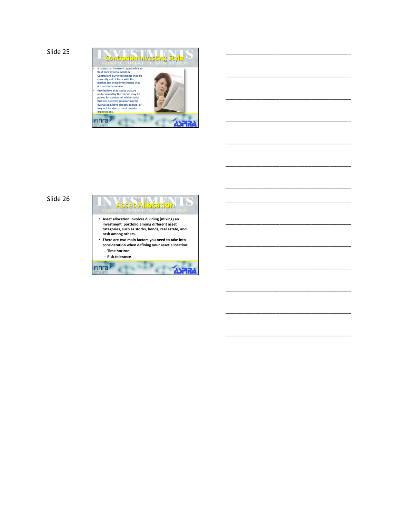

\_\_\_\_\_\_\_\_\_\_\_\_\_\_\_\_\_\_\_\_\_\_\_\_\_\_\_\_\_\_\_\_\_\_\_

\_\_\_\_\_\_\_\_\_\_\_\_\_\_\_\_\_\_\_\_\_\_\_\_\_\_\_\_\_\_\_\_\_\_\_

\_\_\_\_\_\_\_\_\_\_\_\_\_\_\_\_\_\_\_\_\_\_\_\_\_\_\_\_\_\_\_\_\_\_\_

\_\_\_\_\_\_\_\_\_\_\_\_\_\_\_\_\_\_\_\_\_\_\_\_\_\_\_\_\_\_\_\_\_\_\_

\_\_\_\_\_\_\_\_\_\_\_\_\_\_\_\_\_\_\_\_\_\_\_\_\_\_\_\_\_\_\_\_\_\_\_

\_\_\_\_\_\_\_\_\_\_\_\_\_\_\_\_\_\_\_\_\_\_\_\_\_\_\_\_\_\_\_\_\_\_\_

\_\_\_\_\_\_\_\_\_\_\_\_\_\_\_\_\_\_\_\_\_\_\_\_\_\_\_\_\_\_\_\_\_\_\_

\_\_\_\_\_\_\_\_\_\_\_\_\_\_\_\_\_\_\_\_\_\_\_\_\_\_\_\_\_\_\_\_\_\_\_

\_\_\_\_\_\_\_\_\_\_\_\_\_\_\_\_\_\_\_\_\_\_\_\_\_\_\_\_\_\_\_\_\_\_\_

\_\_\_\_\_\_\_\_\_\_\_\_\_\_\_\_\_\_\_\_\_\_\_\_\_\_\_\_\_\_\_\_\_\_\_

\_\_\_\_\_\_\_\_\_\_\_\_\_\_\_\_\_\_\_\_\_\_\_\_\_\_\_\_\_\_\_\_\_\_\_

\_\_\_\_\_\_\_\_\_\_\_\_\_\_\_\_\_\_\_\_\_\_\_\_\_\_\_\_\_\_\_\_\_\_\_

\_\_\_\_\_\_\_\_\_\_\_\_\_\_\_\_\_\_\_\_\_\_\_\_\_\_\_\_\_\_\_\_\_\_\_

\_\_\_\_\_\_\_\_\_\_\_\_\_\_\_\_\_\_\_\_\_\_\_\_\_\_\_\_\_\_\_\_\_\_\_

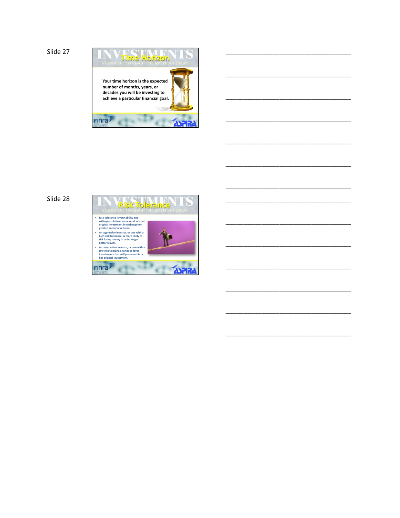

\_\_\_\_\_\_\_\_\_\_\_\_\_\_\_\_\_\_\_\_\_\_\_\_\_\_\_\_\_\_\_\_\_\_\_

\_\_\_\_\_\_\_\_\_\_\_\_\_\_\_\_\_\_\_\_\_\_\_\_\_\_\_\_\_\_\_\_\_\_\_

\_\_\_\_\_\_\_\_\_\_\_\_\_\_\_\_\_\_\_\_\_\_\_\_\_\_\_\_\_\_\_\_\_\_\_

\_\_\_\_\_\_\_\_\_\_\_\_\_\_\_\_\_\_\_\_\_\_\_\_\_\_\_\_\_\_\_\_\_\_\_

\_\_\_\_\_\_\_\_\_\_\_\_\_\_\_\_\_\_\_\_\_\_\_\_\_\_\_\_\_\_\_\_\_\_\_

\_\_\_\_\_\_\_\_\_\_\_\_\_\_\_\_\_\_\_\_\_\_\_\_\_\_\_\_\_\_\_\_\_\_\_

\_\_\_\_\_\_\_\_\_\_\_\_\_\_\_\_\_\_\_\_\_\_\_\_\_\_\_\_\_\_\_\_\_\_\_

\_\_\_\_\_\_\_\_\_\_\_\_\_\_\_\_\_\_\_\_\_\_\_\_\_\_\_\_\_\_\_\_\_\_\_

\_\_\_\_\_\_\_\_\_\_\_\_\_\_\_\_\_\_\_\_\_\_\_\_\_\_\_\_\_\_\_\_\_\_\_

\_\_\_\_\_\_\_\_\_\_\_\_\_\_\_\_\_\_\_\_\_\_\_\_\_\_\_\_\_\_\_\_\_\_\_

\_\_\_\_\_\_\_\_\_\_\_\_\_\_\_\_\_\_\_\_\_\_\_\_\_\_\_\_\_\_\_\_\_\_\_

\_\_\_\_\_\_\_\_\_\_\_\_\_\_\_\_\_\_\_\_\_\_\_\_\_\_\_\_\_\_\_\_\_\_\_

\_\_\_\_\_\_\_\_\_\_\_\_\_\_\_\_\_\_\_\_\_\_\_\_\_\_\_\_\_\_\_\_\_\_\_

\_\_\_\_\_\_\_\_\_\_\_\_\_\_\_\_\_\_\_\_\_\_\_\_\_\_\_\_\_\_\_\_\_\_\_

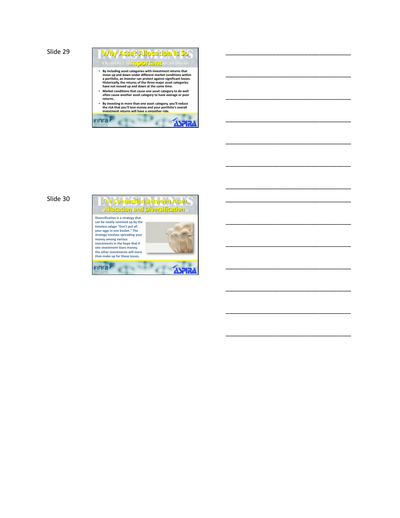

\_\_\_\_\_\_\_\_\_\_\_\_\_\_\_\_\_\_\_\_\_\_\_\_\_\_\_\_\_\_\_\_\_\_\_

\_\_\_\_\_\_\_\_\_\_\_\_\_\_\_\_\_\_\_\_\_\_\_\_\_\_\_\_\_\_\_\_\_\_\_

\_\_\_\_\_\_\_\_\_\_\_\_\_\_\_\_\_\_\_\_\_\_\_\_\_\_\_\_\_\_\_\_\_\_\_

\_\_\_\_\_\_\_\_\_\_\_\_\_\_\_\_\_\_\_\_\_\_\_\_\_\_\_\_\_\_\_\_\_\_\_

\_\_\_\_\_\_\_\_\_\_\_\_\_\_\_\_\_\_\_\_\_\_\_\_\_\_\_\_\_\_\_\_\_\_\_

\_\_\_\_\_\_\_\_\_\_\_\_\_\_\_\_\_\_\_\_\_\_\_\_\_\_\_\_\_\_\_\_\_\_\_

\_\_\_\_\_\_\_\_\_\_\_\_\_\_\_\_\_\_\_\_\_\_\_\_\_\_\_\_\_\_\_\_\_\_\_

\_\_\_\_\_\_\_\_\_\_\_\_\_\_\_\_\_\_\_\_\_\_\_\_\_\_\_\_\_\_\_\_\_\_\_

\_\_\_\_\_\_\_\_\_\_\_\_\_\_\_\_\_\_\_\_\_\_\_\_\_\_\_\_\_\_\_\_\_\_\_

\_\_\_\_\_\_\_\_\_\_\_\_\_\_\_\_\_\_\_\_\_\_\_\_\_\_\_\_\_\_\_\_\_\_\_

\_\_\_\_\_\_\_\_\_\_\_\_\_\_\_\_\_\_\_\_\_\_\_\_\_\_\_\_\_\_\_\_\_\_\_

\_\_\_\_\_\_\_\_\_\_\_\_\_\_\_\_\_\_\_\_\_\_\_\_\_\_\_\_\_\_\_\_\_\_\_

\_\_\_\_\_\_\_\_\_\_\_\_\_\_\_\_\_\_\_\_\_\_\_\_\_\_\_\_\_\_\_\_\_\_\_

\_\_\_\_\_\_\_\_\_\_\_\_\_\_\_\_\_\_\_\_\_\_\_\_\_\_\_\_\_\_\_\_\_\_\_

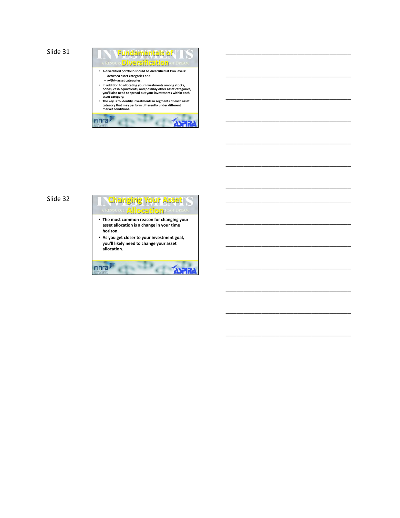

\_\_\_\_\_\_\_\_\_\_\_\_\_\_\_\_\_\_\_\_\_\_\_\_\_\_\_\_\_\_\_\_\_\_\_

\_\_\_\_\_\_\_\_\_\_\_\_\_\_\_\_\_\_\_\_\_\_\_\_\_\_\_\_\_\_\_\_\_\_\_

\_\_\_\_\_\_\_\_\_\_\_\_\_\_\_\_\_\_\_\_\_\_\_\_\_\_\_\_\_\_\_\_\_\_\_

\_\_\_\_\_\_\_\_\_\_\_\_\_\_\_\_\_\_\_\_\_\_\_\_\_\_\_\_\_\_\_\_\_\_\_

\_\_\_\_\_\_\_\_\_\_\_\_\_\_\_\_\_\_\_\_\_\_\_\_\_\_\_\_\_\_\_\_\_\_\_

\_\_\_\_\_\_\_\_\_\_\_\_\_\_\_\_\_\_\_\_\_\_\_\_\_\_\_\_\_\_\_\_\_\_\_

\_\_\_\_\_\_\_\_\_\_\_\_\_\_\_\_\_\_\_\_\_\_\_\_\_\_\_\_\_\_\_\_\_\_\_

\_\_\_\_\_\_\_\_\_\_\_\_\_\_\_\_\_\_\_\_\_\_\_\_\_\_\_\_\_\_\_\_\_\_\_

\_\_\_\_\_\_\_\_\_\_\_\_\_\_\_\_\_\_\_\_\_\_\_\_\_\_\_\_\_\_\_\_\_\_\_

\_\_\_\_\_\_\_\_\_\_\_\_\_\_\_\_\_\_\_\_\_\_\_\_\_\_\_\_\_\_\_\_\_\_\_

\_\_\_\_\_\_\_\_\_\_\_\_\_\_\_\_\_\_\_\_\_\_\_\_\_\_\_\_\_\_\_\_\_\_\_

\_\_\_\_\_\_\_\_\_\_\_\_\_\_\_\_\_\_\_\_\_\_\_\_\_\_\_\_\_\_\_\_\_\_\_

\_\_\_\_\_\_\_\_\_\_\_\_\_\_\_\_\_\_\_\_\_\_\_\_\_\_\_\_\_\_\_\_\_\_\_

\_\_\_\_\_\_\_\_\_\_\_\_\_\_\_\_\_\_\_\_\_\_\_\_\_\_\_\_\_\_\_\_\_\_\_

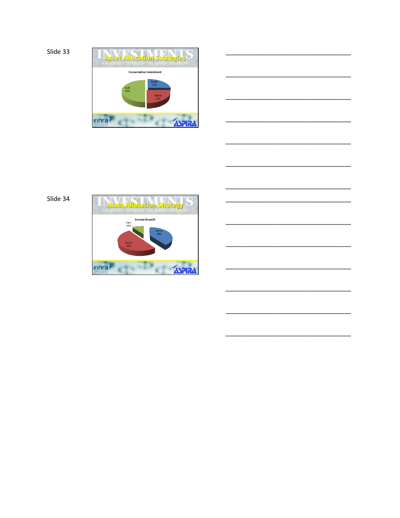

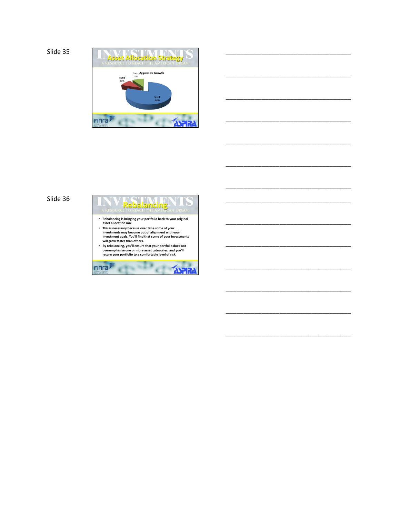```
Slide 35
```


\_\_\_\_\_\_\_\_\_\_\_\_\_\_\_\_\_\_\_\_\_\_\_\_\_\_\_\_\_\_\_\_\_\_\_

\_\_\_\_\_\_\_\_\_\_\_\_\_\_\_\_\_\_\_\_\_\_\_\_\_\_\_\_\_\_\_\_\_\_\_

\_\_\_\_\_\_\_\_\_\_\_\_\_\_\_\_\_\_\_\_\_\_\_\_\_\_\_\_\_\_\_\_\_\_\_

\_\_\_\_\_\_\_\_\_\_\_\_\_\_\_\_\_\_\_\_\_\_\_\_\_\_\_\_\_\_\_\_\_\_\_

\_\_\_\_\_\_\_\_\_\_\_\_\_\_\_\_\_\_\_\_\_\_\_\_\_\_\_\_\_\_\_\_\_\_\_

\_\_\_\_\_\_\_\_\_\_\_\_\_\_\_\_\_\_\_\_\_\_\_\_\_\_\_\_\_\_\_\_\_\_\_

\_\_\_\_\_\_\_\_\_\_\_\_\_\_\_\_\_\_\_\_\_\_\_\_\_\_\_\_\_\_\_\_\_\_\_

\_\_\_\_\_\_\_\_\_\_\_\_\_\_\_\_\_\_\_\_\_\_\_\_\_\_\_\_\_\_\_\_\_\_\_

\_\_\_\_\_\_\_\_\_\_\_\_\_\_\_\_\_\_\_\_\_\_\_\_\_\_\_\_\_\_\_\_\_\_\_

\_\_\_\_\_\_\_\_\_\_\_\_\_\_\_\_\_\_\_\_\_\_\_\_\_\_\_\_\_\_\_\_\_\_\_

\_\_\_\_\_\_\_\_\_\_\_\_\_\_\_\_\_\_\_\_\_\_\_\_\_\_\_\_\_\_\_\_\_\_\_

\_\_\_\_\_\_\_\_\_\_\_\_\_\_\_\_\_\_\_\_\_\_\_\_\_\_\_\_\_\_\_\_\_\_\_

\_\_\_\_\_\_\_\_\_\_\_\_\_\_\_\_\_\_\_\_\_\_\_\_\_\_\_\_\_\_\_\_\_\_\_